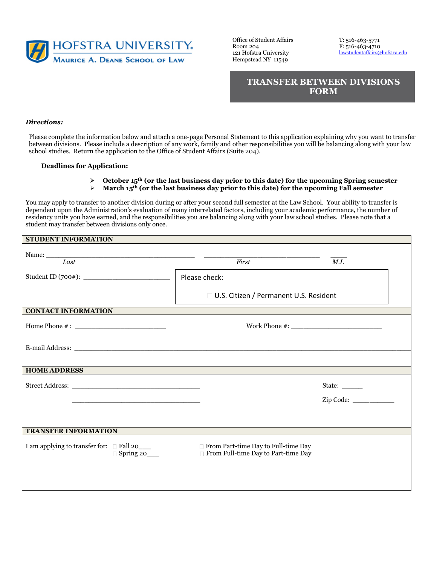

Office of Student Affairs T: 516-463-5771 121 Hofstra University Hempstead NY 11549

Room 204<br>
121 Hofstra University<br>
121 Hofstra University<br>
2021 Hofstra University<br>
2021 Hofstra University

**TRANSFER BETWEEN DIVISIONS FORM** 

## *Directions:*

Please complete the information below and attach a one-page Personal Statement to this application explaining why you want to transfer between divisions. Please include a description of any work, family and other responsibilities you will be balancing along with your law school studies. Return the application to the Office of Student Affairs (Suite 204).

## **Deadlines for Application:**

- $\triangleright$  October 15<sup>th</sup> (or the last business day prior to this date) for the upcoming Spring semester
- ➢ **March 15th (or the last business day prior to this date) for the upcoming Fall semester**

You may apply to transfer to another division during or after your second full semester at the Law School. Your ability to transfer is dependent upon the Administration's evaluation of many interrelated factors, including your academic performance, the number of residency units you have earned, and the responsibilities you are balancing along with your law school studies. Please note that a student may transfer between divisions only once.

## **STUDENT INFORMATION**

| Last                                                                                                                                                                                                                          | First                                                                      | M.I.   |  |
|-------------------------------------------------------------------------------------------------------------------------------------------------------------------------------------------------------------------------------|----------------------------------------------------------------------------|--------|--|
|                                                                                                                                                                                                                               | Please check:                                                              |        |  |
|                                                                                                                                                                                                                               | □ U.S. Citizen / Permanent U.S. Resident                                   |        |  |
| <b>CONTACT INFORMATION</b>                                                                                                                                                                                                    |                                                                            |        |  |
|                                                                                                                                                                                                                               |                                                                            |        |  |
|                                                                                                                                                                                                                               |                                                                            |        |  |
| <b>HOME ADDRESS</b>                                                                                                                                                                                                           |                                                                            |        |  |
|                                                                                                                                                                                                                               |                                                                            | State: |  |
| the control of the control of the control of the control of the control of the control of the control of the control of the control of the control of the control of the control of the control of the control of the control |                                                                            |        |  |
|                                                                                                                                                                                                                               |                                                                            |        |  |
| <b>TRANSFER INFORMATION</b>                                                                                                                                                                                                   |                                                                            |        |  |
| I am applying to transfer for: $\Box$ Fall 20____<br>$\Box$ Spring 20_______                                                                                                                                                  | From Part-time Day to Full-time Day<br>From Full-time Day to Part-time Day |        |  |
|                                                                                                                                                                                                                               |                                                                            |        |  |